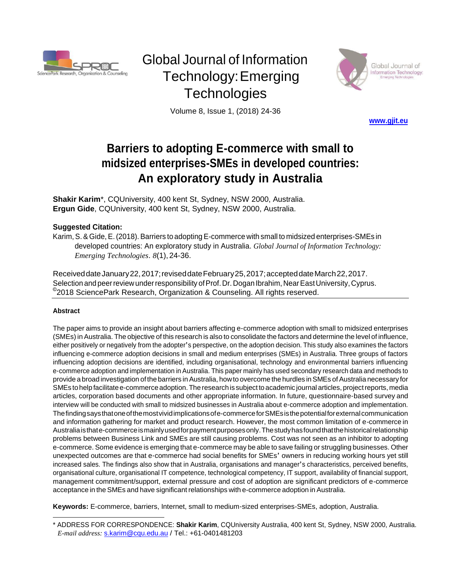

# Global Journal of Information Technology:Emerging **Technologies**



Volume 8, Issue 1, (2018) 24-36

**[www.gjit.eu](http://www.gjit.eu/)**

# **Barriers to adopting E-commerce with small to midsized enterprises-SMEs in developed countries: An exploratory study in Australia**

**Shakir Karim**\*, CQUniversity, 400 kent St, Sydney, NSW 2000, Australia. **Ergun Gide**, CQUniversity, 400 kent St, Sydney, NSW 2000, Australia.

### **Suggested Citation:**

Karim,S.&Gide,E.(2018).Barriers to adoptingE-commerce with small to midsized enterprises-SMEs in developed countries: An exploratory study in Australia. *Global Journal of Information Technology: Emerging Technologies*. *8*(1),24-36.

ReceiveddateJanuary22,2017;reviseddateFebruary25,2017;accepteddateMarch22,2017. Selection and peer review under responsibility of Prof. Dr. Dogan Ibrahim, Near East University, Cyprus. © 2018 SciencePark Research, Organization & Counseling. All rights reserved.

#### **Abstract**

The paper aims to provide an insight about barriers affecting e-commerce adoption with small to midsized enterprises (SMEs) in Australia. The objective of this research is also to consolidate the factors and determine the level of influence, either positively or negatively from the adopter's perspective, on the adoption decision. This study also examines the factors influencing e-commerce adoption decisions in small and medium enterprises (SMEs) in Australia. Three groups of factors influencing adoption decisions are identified, including organisational, technology and environmental barriers influencing e‐commerce adoption and implementation in Australia. This paper mainly has used secondary research data and methods to provide a broad investigation of the barriers in Australia, how to overcome the hurdles in SMEs of Australia necessary for SMEs to help facilitate e-commerce adoption. The research is subject to academic journal articles, project reports, media articles, corporation based documents and other appropriate information. In future, questionnaire‐based survey and interview will be conducted with small to midsized businesses in Australia about e‐commerce adoption and implementation. Thefindingsaysthatoneofthemostvividimplicationsofe-commerceforSMEsisthepotentialforexternalcommunication and information gathering for market and product research. However, the most common limitation of e-commerce in Australiaisthate-commerceismainlyusedforpaymentpurposesonly.Thestudyhasfoundthatthehistoricalrelationship problems between Business Link and SMEs are still causing problems. Cost was not seen as an inhibitor to adopting e‐commerce. Some evidence is emerging that e‐commerce may be able to save failing or struggling businesses. Other unexpected outcomes are that e‐commerce had social benefits for SMEs' owners in reducing working hours yet still increased sales. The findings also show that in Australia, organisations and manager's characteristics, perceived benefits, organisational culture, organisational IT competence, technological competency, IT support, availability of financial support, management commitment/support, external pressure and cost of adoption are significant predictors of e-commerce acceptance in the SMEs and have significant relationships with e-commerce adoption in Australia.

**Keywords:** E-commerce, barriers, Internet, small to medium‐sized enterprises-SMEs, adoption, Australia.

<sup>\*</sup> ADDRESS FOR CORRESPONDENCE: **Shakir Karim**, CQUniversity Australia, 400 kent St, Sydney, NSW 2000, Australia. *E-mail address:* [s.karim@cqu.edu.au](mailto:s.karim@cqu.edu.au) / Tel.: +61-0401481203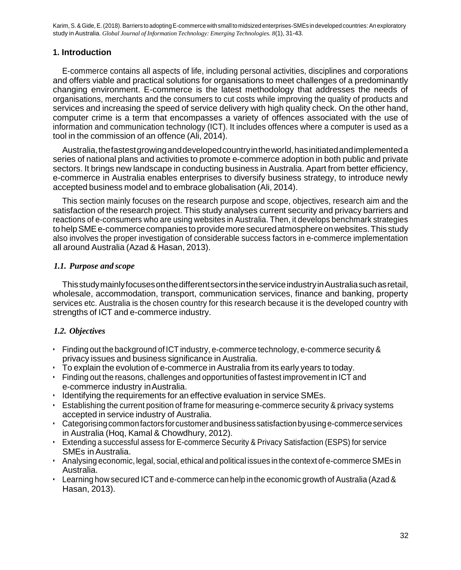## **1. Introduction**

E-commerce contains all aspects of life, including personal activities, disciplines and corporations and offers viable and practical solutions for organisations to meet challenges of a predominantly changing environment. E-commerce is the latest methodology that addresses the needs of organisations, merchants and the consumers to cut costs while improving the quality of products and services and increasing the speed of service delivery with high quality check. On the other hand, computer crime is a term that encompasses a variety of offences associated with the use of information and communication technology (ICT). It includes offences where a computer is used as a tool in the commission of an offence (Ali, 2014).

Australia, the fastest growing and developed country in the world, has initiated and implemented a series of national plans and activities to promote e-commerce adoption in both public and private sectors. It brings new landscape in conducting business in Australia. Apart from better efficiency, e-commerce in Australia enables enterprises to diversify business strategy, to introduce newly accepted business model and to embrace globalisation (Ali, 2014).

This section mainly focuses on the research purpose and scope, objectives, research aim and the satisfaction of the research project. This study analyses current security and privacy barriers and reactions of e-consumers who are using websites in Australia. Then, it develops benchmark strategies to help SME e-commerce companies to provide more secured atmosphere on websites. This study also involves the proper investigation of considerable success factors in e-commerce implementation all around Australia (Azad & Hasan, 2013).

#### *1.1. Purpose and scope*

ThisstudymainlyfocusesonthedifferentsectorsintheserviceindustryinAustraliasuchasretail, wholesale, accommodation, transport, communication services, finance and banking, property services etc. Australia is the chosen country for this research because it is the developed country with strengths of ICT and e-commerce industry.

## *1.2. Objectives*

- Finding out the background of ICT industry, e-commerce technology, e-commerce security & privacy issues and business significance in Australia.
- To explain the evolution of e-commerce in Australia from its early years to today.
- Finding out the reasons, challenges and opportunities of fastest improvement in ICT and e-commerce industry inAustralia.
- Identifying the requirements for an effective evaluation in service SMEs.
- Establishing the current position of frame for measuring e-commerce security & privacy systems accepted in service industry of Australia.
- Categorisingcommonfactorsforcustomerandbusiness satisfactionbyusinge-commerceservices in Australia (Hoq, Kamal & Chowdhury, 2012).
- Extending a successful assess for E-commerce Security & Privacy Satisfaction (ESPS) for service SMEs inAustralia.
- $\cdot$  Analysing economic, legal, social, ethical and political issues in the context of e-commerce SMEs in Australia.
- Learning how secured ICT and e-commerce can help in the economic growth of Australia (Azad & Hasan, 2013).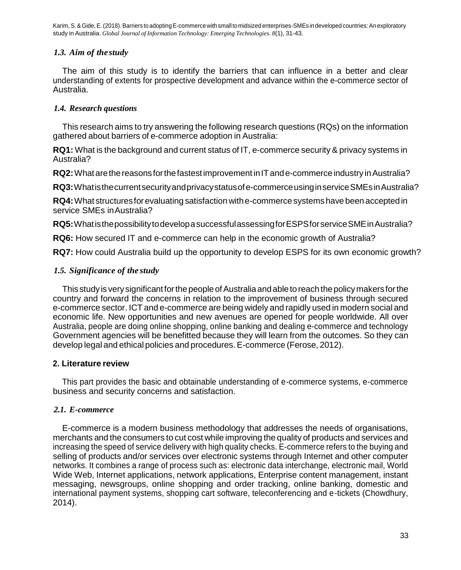## *1.3. Aim of the study*

The aim of this study is to identify the barriers that can influence in a better and clear understanding of extents for prospective development and advance within the e-commerce sector of Australia.

# *1.4. Research questions*

This research aims to try answering the following research questions (RQs) on the information gathered about barriers of e-commerce adoption in Australia:

**RQ1:** What is the background and current status of IT, e-commerce security & privacy systems in Australia?

**RQ2:** What are the reasons for the fastest improvement in IT and e-commerce industry in Australia?

**RQ3:**Whatisthecurrentsecurityandprivacystatusofe-commerceusinginserviceSMEsinAustralia?

**RQ4:**What structuresforevaluating satisfactionwithe-commercesystemshave been acceptedin service SMEs inAustralia?

**RQ5:**WhatisthepossibilitytodevelopasuccessfulassessingforESPSforserviceSMEinAustralia?

**RQ6:** How secured IT and e-commerce can help in the economic growth of Australia?

**RQ7:** How could Australia build up the opportunity to develop ESPS for its own economic growth?

## *1.5. Significance of the study*

This study is very significant for the people of Australia and able to reach the policy makers for the country and forward the concerns in relation to the improvement of business through secured e-commerce sector. ICT and e-commerce are being widely and rapidly used in modern social and economic life. New opportunities and new avenues are opened for people worldwide. All over Australia, people are doing online shopping, online banking and dealing e-commerce and technology Government agencies will be benefitted because they will learn from the outcomes. So they can develop legal and ethical policies and procedures. E-commerce (Ferose, 2012).

## **2. Literature review**

This part provides the basic and obtainable understanding of e-commerce systems, e-commerce business and security concerns and satisfaction.

## *2.1. E-commerce*

E-commerce is a modern business methodology that addresses the needs of organisations, merchants and the consumers to cut cost while improving the quality of products and services and increasing the speed of service delivery with high quality checks. E-commerce refers to the buying and selling of products and/or services over electronic systems through Internet and other computer networks. It combines a range of process such as: electronic data interchange, electronic mail, World Wide Web, Internet applications, network applications, Enterprise content management, instant messaging, newsgroups, online shopping and order tracking, online banking, domestic and international payment systems, shopping cart software, teleconferencing and e-tickets (Chowdhury, 2014).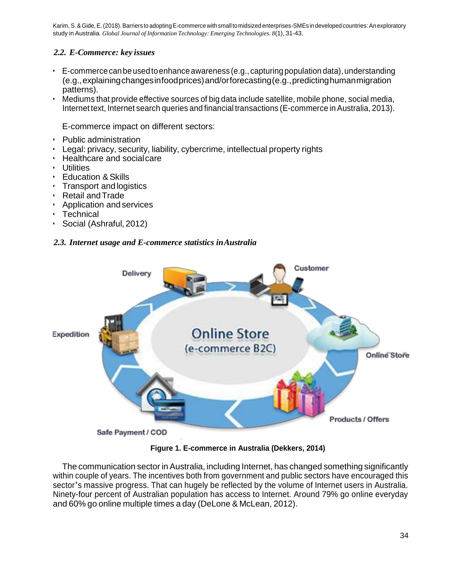# *2.2. E-Commerce: key issues*

- $\cdot$  E-commerce can be used to enhance awareness (e.g., capturing population data), understanding (e.g.,explainingchangesinfoodprices)and/orforecasting(e.g.,predictinghumanmigration patterns).
- Mediums that provide effective sources of big data include satellite, mobile phone, social media, Internet text, Internet search queries and financial transactions (E-commerce in Australia, 2013).

E-commerce impact on different sectors:

- Public administration
- Legal: privacy, security, liability, cybercrime, intellectual property rights
- Healthcare and socialcare
- Utilities
- Education & Skills
- Transport and logistics
- Retail andTrade
- Application and services
- Technical
- Social (Ashraful, 2012)

## *2.3. Internet usage and E-commerce statistics inAustralia*



**Figure 1. E-commerce in Australia (Dekkers, 2014)**

The communication sector in Australia, including Internet, has changed something significantly within couple of years. The incentives both from government and public sectors have encouraged this sector's massive progress. That can hugely be reflected by the volume of Internet users in Australia. Ninety-four percent of Australian population has access to Internet. Around 79% go online everyday and 60% go online multiple times a day (DeLone & McLean, 2012).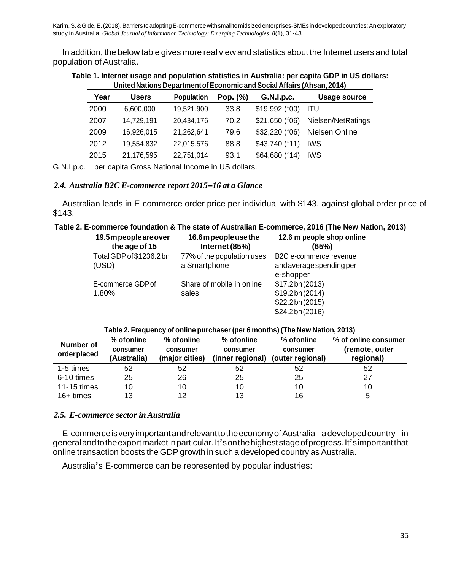In addition, the below table gives more real view and statistics about the Internet users and total population of Australia.

|      |            |                   |             | United Nations Department of Economic and Social Affairs (Ahsan, 2014) |                    |
|------|------------|-------------------|-------------|------------------------------------------------------------------------|--------------------|
| Year | Users      | <b>Population</b> | Pop. $(\%)$ | G.N.I.p.c.                                                             | Usage source       |
| 2000 | 6,600,000  | 19,521,900        | 33.8        | $$19,992$ ('00)                                                        | - ITU              |
| 2007 | 14.729.191 | 20.434.176        | 70.2        | $$21,650$ ('06)                                                        | Nielsen/NetRatings |
| 2009 | 16.926.015 | 21,262,641        | 79.6        | \$32,220 (°06)                                                         | Nielsen Online     |
| 2012 | 19,554,832 | 22,015,576        | 88.8        | $$43,740$ ('11)                                                        | <b>IWS</b>         |

2015 21,176,595 22,751,014 93.1 \$64,680 ('14) IWS

**Table 1. Internet usage and population statistics in Australia: per capita GDP in US dollars: UnitedNations DepartmentofEconomic andSocialAffairs (Ahsan, 2014)**

G.N.I.p.c. = per capita Gross National Income in US dollars.

#### *2.4. Australia B2C E-commerce report 2015–16 at a Glance*

Australian leads in E-commerce order price per individual with \$143, against global order price of \$143.

|  |  | Table 2. E-commerce foundation & The state of Australian E-commerce, 2016 (The New Nation, 2013) |  |  |  |
|--|--|--------------------------------------------------------------------------------------------------|--|--|--|
|--|--|--------------------------------------------------------------------------------------------------|--|--|--|

| 19.5 m people are over<br>the age of 15 | 16.6m people use the<br>Internet (85%) | 12.6 m people shop online<br>(65%)    |
|-----------------------------------------|----------------------------------------|---------------------------------------|
| Total GDP of \$1236.2 bn                | 77% of the population uses             | B2C e-commerce revenue                |
| (USD)                                   | a Smartphone                           | and average spending per<br>e-shopper |
| E-commerce GDP of                       | Share of mobile in online              | \$17.2bn(2013)                        |
| 1.80%                                   | sales                                  | \$19.2bn(2014)                        |
|                                         |                                        | \$22.2bn(2015)                        |
|                                         |                                        | \$24.2bn(2016)                        |

| Table 2. Frequency of online purchaser (per 6 months) (The New Nation, 2013) |  |
|------------------------------------------------------------------------------|--|
|------------------------------------------------------------------------------|--|

| Number of<br>orderplaced | % of online<br>consumer<br>(Australia) | $%$ of online<br>consumer<br>(major cities) | % of online<br>consumer<br>(inner regional) | % of online<br>consumer<br>(outer regional) | % of online consumer<br>(remote, outer<br>regional) |
|--------------------------|----------------------------------------|---------------------------------------------|---------------------------------------------|---------------------------------------------|-----------------------------------------------------|
| $1-5$ times              | 52                                     | 52                                          | 52                                          | 52                                          | 52                                                  |
| 6-10 times               | 25                                     | 26                                          | 25                                          | 25                                          | 27                                                  |
| 11-15 times              | 10                                     | 10                                          | 10                                          | 10                                          | 10                                                  |
| $16+$ times              | 13                                     | 12                                          | 13                                          | 16                                          |                                                     |

#### *2.5. E-commerce sector in Australia*

E-commerceisveryimportantandrelevanttotheeconomyofAustralia––adevelopedcountry—in generalandtotheexportmarketinparticular.It'sonthehigheststageofprogress.It'simportantthat online transaction boosts the GDPgrowth in such a developed country as Australia.

Australia's E-commerce can be represented by popular industries: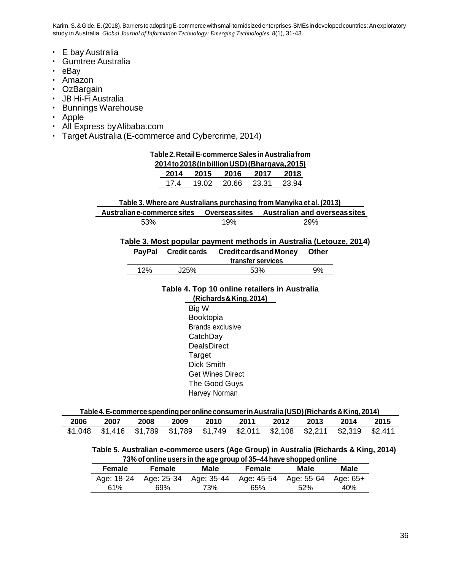- E bayAustralia
- Gumtree Australia
- eBay
- Amazon
- OzBargain
- JB Hi-Fi Australia
- Bunnings Warehouse
- Apple
- All Express byAlibaba.com
- Target Australia (E-commerce and Cybercrime, 2014)

#### **Table2.RetailE-commerceSalesinAustraliafrom**

|      |       | 2014 to 201 <u>8 (in billion USD)</u> (Bhargava, 2015) |       |       |
|------|-------|--------------------------------------------------------|-------|-------|
| 2014 | 2015  | 2016                                                   | 2017  | 2018  |
| 17 4 | 19.02 | 20.66                                                  | 23.31 | 23.94 |

#### **Table 3. Where are Australians purchasing from Manyika et al. (2013)**

| Australian e-commerce sites | <b>Overseas sites</b> | <b>Australian and overseassites</b> |
|-----------------------------|-----------------------|-------------------------------------|
| 53%                         | 19%                   | 29%                                 |

#### **Table 3. Most popular payment methods in Australia (Letouze, 2014)**

| <b>PavPal</b> | <b>Credit cards</b> | <b>Creditcards and Money</b><br>transfer services | Other |
|---------------|---------------------|---------------------------------------------------|-------|
| 12%           | J25%                | 53%                                               | 9%    |

#### **Table 4. Top 10 online retailers in Australia (Richards&King,2014)**

Big W Booktopia Brands exclusive **CatchDay DealsDirect** Target Dick Smith Get Wines Direct The Good Guys Harvey Norman

| Table 4. E-commerce spending per online consumer in Australia (USD) (Richards & King, 2014) |
|---------------------------------------------------------------------------------------------|
|---------------------------------------------------------------------------------------------|

| 2006    | 2007    | 2008    | 2009    | 2010    | 2011    | 2012    | 2013    | 2014    | 2015   |
|---------|---------|---------|---------|---------|---------|---------|---------|---------|--------|
| \$1.048 | \$1.416 | \$1.789 | \$1.789 | \$1.749 | \$2.011 | \$2.108 | \$2.211 | \$2.319 | \$2.41 |

#### **Table 5. Australian e-commerce users (Age Group) in Australia (Richards & King, 2014) 73% of online users in the age group of 35–44 have shopped online**

| Female | Female                | Male                  | Female | Male       | Male       |
|--------|-----------------------|-----------------------|--------|------------|------------|
|        | Age: 18-24 Age: 25-34 | Age: 35-44 Age: 45-54 |        | Age: 55-64 | - Aae: 65+ |
| 61%    | 69%                   | 73%                   | 65%    | 52%        | 40%        |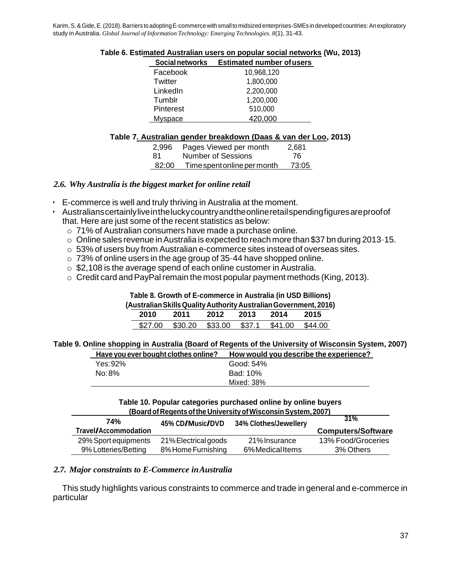| Social networks  | <b>Estimated number of users</b> |  |
|------------------|----------------------------------|--|
| Facebook         | 10,968,120                       |  |
| Twitter          | 1,800,000                        |  |
| LinkedIn         | 2,200,000                        |  |
| Tumblr           | 1,200,000                        |  |
| <b>Pinterest</b> | 510,000                          |  |
| Myspace          | 420,000                          |  |

#### **Table 6. Estimated Australian users on popular social networks (Wu, 2013)**

#### **Table 7. Australian gender breakdown (Daas & van der Loo, 2013)**

| 2.996 | Pages Viewed per month      | 2.681 |
|-------|-----------------------------|-------|
| -81   | Number of Sessions          | -76   |
| 82:00 | Time spent online per month | 73:05 |

#### *2.6. Why Australia is the biggest market for online retail*

- E-commerce is well and truly thriving in Australia at the moment.
- Australianscertainlyliveintheluckycountryandtheonlineretailspendingfiguresareproofof that. Here are just some of the recent statistics as below:
	- o 71% of Australian consumers have made a purchase online.
	- $\circ$  Online sales revenue in Australia is expected to reach more than \$37 bn during 2013-15.
	- $\circ$  53% of users buy from Australian e-commerce sites instead of overseas sites.
	- $\circ$  73% of online users in the age group of 35-44 have shopped online.
	- o \$2,108 is the average spend of each online customer in Australia.
	- $\circ$  Credit card and PayPal remain the most popular payment methods (King, 2013).

**Table 8. Growth of E-commerce in Australia (in USD Billions)** 

**(AustralianSkillsQualityAuthority AustralianGovernment, 2016)** 

| 2010    | 2011                           | 2012 | 2013 | 2014 | 2015           |
|---------|--------------------------------|------|------|------|----------------|
| \$27.00 | \$30.20 \$33.00 \$37.1 \$41.00 |      |      |      | <b>\$44.00</b> |

**Table 9. Online shopping in Australia (Board of Regents of the University of Wisconsin System, 2007)**

| Have you ever bought clothes online? | How would you describe the experience? |
|--------------------------------------|----------------------------------------|
| Yes: 92%                             | Good: 54%                              |
| No: 8%                               | Bad: 10%                               |
|                                      | Mixed: 38%                             |

#### **Table 10. Popular categories purchased online by online buyers (BoardofRegentsofthe UniversityofWisconsinSystem,2007)**

| 45% CD/Music/DVD     |                | 31%                       |
|----------------------|----------------|---------------------------|
|                      |                | <b>Computers/Software</b> |
| 21% Electrical goods | 21% Insurance  | 13% Food/Groceries        |
| 8% Home Furnishing   | 6%MedicalItems | 3% Others                 |
|                      |                | 34% Clothes/Jewellery     |

#### *2.7. Major constraints to E-Commerce inAustralia*

This study highlights various constraints to commerce and trade in general and e-commerce in particular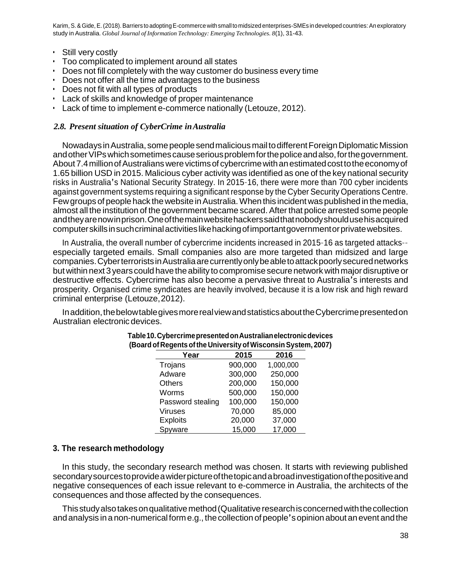- Still very costly
- Too complicated to implement around all states
- Does not fill completely with the way customer do business every time
- Does not offer all the time advantages to the business
- Does not fit with all types of products
- Lack of skills and knowledge of proper maintenance
- Lack of time to implement e-commerce nationally (Letouze, 2012).

#### *2.8. Present situation of CyberCrime inAustralia*

Nowadays inAustralia, somepeoplesendmaliciousmailtodifferentForeignDiplomaticMission and other VIPs which sometimes cause serious problem for the police and also, for the government. About 7.4 million of Australians were victims of cybercrime with an estimated cost to the economy of 1.65 billion USD in 2015. Malicious cyber activity was identified as one of the key national security risks in Australia's National Security Strategy. In 2015–16, there were more than 700 cyber incidents against government systems requiring a significant response by the Cyber Security Operations Centre. Few groups of people hack the website in Australia. When this incident was published in the media, almost all the institution of the government became scared.After that police arrested some people andtheyarenowinprison.Oneofthemainwebsitehackerssaidthatnobodyshouldusehisacquired computerskillsinsuchcriminalactivitieslikehackingofimportantgovernmentorprivatewebsites.

In Australia, the overall number of cybercrime incidents increased in 2015–16 as targeted attacks–– especially targeted emails. Small companies also are more targeted than midsized and large companies.CyberterroristsinAustraliaarecurrentlyonlybeabletoattackpoorlysecurednetworks but within next 3 years could have theability to compromisesecurenetwork with majordisruptive or destructive effects. Cybercrime has also become a pervasive threat to Australia's interests and prosperity. Organised crime syndicates are heavily involved, because it is a low risk and high reward criminal enterprise (Letouze,2012).

Inaddition,thebelowtablegivesmorerealviewandstatisticsabouttheCybercrimepresentedon Australian electronic devices.

| Year              | 2015    | 2016      |  |
|-------------------|---------|-----------|--|
| Trojans           | 900,000 | 1,000,000 |  |
| Adware            | 300,000 | 250,000   |  |
| <b>Others</b>     | 200,000 | 150,000   |  |
| Worms             | 500,000 | 150,000   |  |
| Password stealing | 100,000 | 150,000   |  |
| <b>Viruses</b>    | 70,000  | 85,000    |  |
| <b>Exploits</b>   | 20,000  | 37,000    |  |
| Spyware           | 15,000  | 17,000    |  |

#### **Table10.CybercrimepresentedonAustralianelectronicdevices (Board of Regents ofthe University ofWisconsinSystem, 2007)**

## **3. The research methodology**

In this study, the secondary research method was chosen. It starts with reviewing published secondarysourcestoprovideawiderpictureofthetopicandabroadinvestigationofthepositiveand negative consequences of each issue relevant to e-commerce in Australia, the architects of the consequences and those affected by the consequences.

Thisstudyalsotakesonqualitativemethod(Qualitativeresearchisconcernedwiththecollection and analysis in a non-numericalforme.g., thecollection of people'sopinion about anevent andthe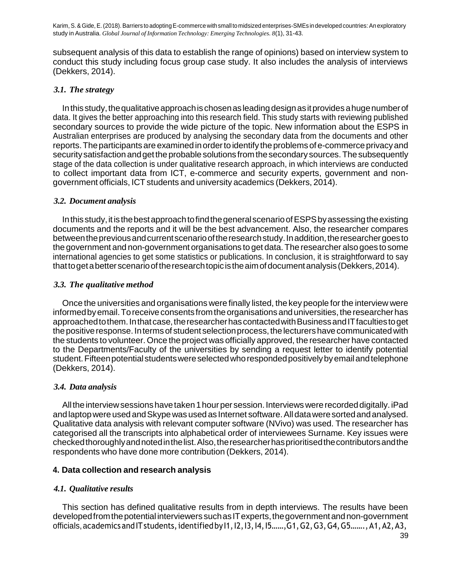subsequent analysis of this data to establish the range of opinions) based on interview system to conduct this study including focus group case study. It also includes the analysis of interviews (Dekkers, 2014).

## *3.1. The strategy*

In this study, the qualitative approach is chosen as leading design as it provides a huge number of data. It gives the better approaching into this research field. This study starts with reviewing published secondary sources to provide the wide picture of the topic. New information about the ESPS in Australian enterprises are produced by analysing the secondary data from the documents and other reports. The participants are examined in order to identify the problems of e-commerce privacy and security satisfaction and get the probable solutions from the secondary sources. The subsequently stage of the data collection is under qualitative research approach, in which interviews are conducted to collect important data from ICT, e-commerce and security experts, government and nongovernment officials, ICT students and university academics (Dekkers, 2014).

# *3.2. Document analysis*

In this study, it is the best approach to find the general scenario of ESPS by assessing the existing documents and the reports and it will be the best advancement. Also, the researcher compares betweenthepreviousandcurrentscenariooftheresearchstudy.Inaddition,theresearchergoesto thegovernment and non-government organisations to get data.The researcher also goes to some international agencies to get some statistics or publications. In conclusion, it is straightforward to say thattogetabetterscenariooftheresearchtopicistheaimofdocumentanalysis(Dekkers,2014).

# *3.3. The qualitative method*

Once the universities and organisations were finally listed, the key people for the interview were informed by email. To receive consents from the organisations and universities, the researcher has approached to them. In that case, the researcher has contacted with Business and IT faculties to get the positive response. In terms of student selection process, the lecturers have communicated with the students to volunteer. Once the project was officially approved, the researcher have contacted to the Departments/Faculty of the universities by sending a request letter to identify potential student.Fifteenpotentialstudentswereselectedwhorespondedpositivelybyemailandtelephone (Dekkers, 2014).

# *3.4. Data analysis*

All the interview sessions have taken 1 hour per session. Interviews were recorded digitally. iPad and laptopwere used andSkypewas used as Internet software.Alldataweresortedandanalysed. Qualitative data analysis with relevant computer software (NVivo) was used. The researcher has categorised all the transcripts into alphabetical order of interviewees Surname. Key issues were checkedthoroughlyandnotedinthelist.Also,theresearcherhasprioritisedthecontributorsandthe respondents who have done more contribution (Dekkers, 2014).

# **4. Data collection and research analysis**

# *4.1. Qualitative results*

This section has defined qualitative results from in depth interviews. The results have been developed from the potential interviewers such as IT experts, the government and non-government officials, academics and IT students, identified by 11, 12, 13, 14, 15……,G1, G2, G3, G4, G5…….,A1, A2, A3,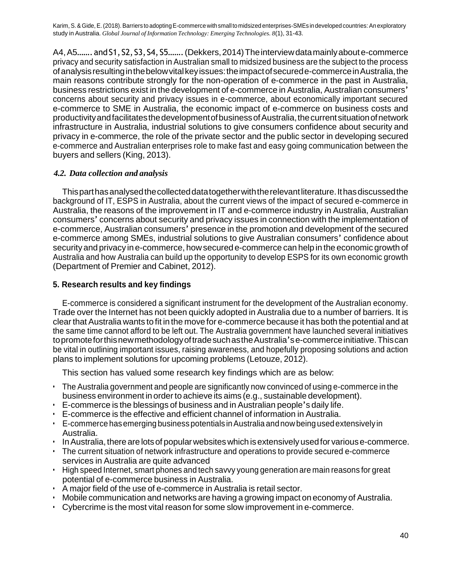A4,A5…….andS1, S2, S3,S4, S5…….(Dekkers,2014)Theinterviewdatamainlyaboute-commerce privacy and security satisfaction in Australian small to midsized business are the subject to the process ofanalysisresultinginthebelowvitalkeyissues:theimpactofsecurede-commerceinAustralia,the main reasons contribute strongly for the non-operation of e-commerce in the past in Australia, business restrictions exist in the development of e-commerce in Australia, Australian consumers' concerns about security and privacy issues in e-commerce, about economically important secured e-commerce to SME in Australia, the economic impact of e-commerce on business costs and productivityandfacilitatesthedevelopmentofbusinessofAustralia,thecurrentsituationofnetwork infrastructure in Australia, industrial solutions to give consumers confidence about security and privacy in e-commerce, the role of the private sector and the public sector in developing secured e-commerce and Australian enterprises role to make fast and easy going communication between the buyers and sellers (King, 2013).

## *4.2. Data collection and analysis*

Thisparthasanalysedthecollecteddatatogetherwiththerelevantliterature.Ithasdiscussedthe background of IT, ESPS in Australia, about the current views of the impact of secured e-commerce in Australia, the reasons of the improvement in IT and e-commerce industry in Australia, Australian consumers' concerns about security and privacy issues in connection with the implementation of e-commerce, Australian consumers' presence in the promotion and development of the secured e-commerce among SMEs, industrial solutions to give Australian consumers' confidence about security and privacy in e-commerce, howsecured e-commerce can help in the economic growth of Australia and how Australia can build up the opportunity to develop ESPS for its own economic growth (Department of Premier and Cabinet, 2012).

## **5. Research results and key findings**

E-commerce is considered a significant instrument for the development of the Australian economy. Trade over the Internet has not been quickly adopted in Australia due to a number of barriers. It is clear that Australia wants to fit in the move for e-commerce because it has both the potential and at the same time cannot afford to be left out. The Australia government have launched several initiatives topromoteforthisnewmethodologyoftradesuchastheAustralia'se-commerceinitiative.Thiscan be vital in outlining important issues, raising awareness, and hopefully proposing solutions and action plans to implement solutions for upcoming problems (Letouze, 2012).

This section has valued some research key findings which are as below:

- The Australia government and people are significantly now convinced of using e-commerce in the business environment in order to achieve its aims (e.g., sustainable development).
- E-commerce is the blessings of business and in Australian people's daily life.
- E-commerce is the effective and efficient channel of information in Australia.
- $\cdot$  E-commerce has emerging business potentials in Australia and now being used extensively in Australia.
- InAustralia,there are lotsof popularwebsiteswhich isextensivelyusedfor variouse-commerce.
- The current situation of network infrastructure and operations to provide secured e-commerce services in Australia are quite advanced
- High speed Internet, smart phones and tech savvy young generation are main reasons for great potential of e-commerce business in Australia.
- A major field of the use of e-commerce in Australia is retail sector.
- Mobile communication and networks are having a growing impact on economy of Australia.
- Cybercrime is the most vital reason for some slow improvement in e-commerce.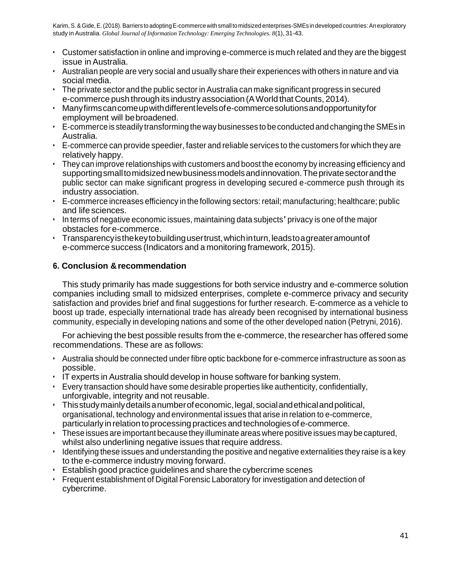- Customer satisfaction in online and improving e-commerce is much related and they are the biggest issue inAustralia.
- Australian people are very social and usually share their experiences with others in nature and via social media.
- The private sector and the public sector in Australia can make significant progress in secured e-commerce push through its industry association (AWorld that Counts, 2014).
- Manyfirmscancomeupwithdifferentlevelsofe-commercesolutionsandopportunityfor employment will bebroadened.
- E-commerce is steadily transforming theway businesses to beconducted and changing the SMEs in Australia.
- E-commerce can provide speedier, faster and reliable services to the customers for which they are relatively happy.
- They can improve relationships with customers and boost the economy by increasing efficiency and supportingsmalltomidsizednewbusinessmodelsandinnovation.Theprivatesectorandthe public sector can make significant progress in developing secured e-commerce push through its industry association.
- E-commerce increases efficiency in the following sectors:retail; manufacturing; healthcare; public and life sciences.
- In terms of negative economic issues, maintaining data subjects' privacy is one of the major obstacles for e-commerce.
- Transparencyisthekeytobuildingusertrust,whichinturn,leadstoagreateramountof e-commerce success (Indicators and a monitoring framework, 2015).

# **6. Conclusion &recommendation**

This study primarily has made suggestions for both service industry and e-commerce solution companies including small to midsized enterprises, complete e-commerce privacy and security satisfaction and provides brief and final suggestions for further research. E-commerce as a vehicle to boost up trade, especially international trade has already been recognised by international business community, especially in developing nations and some of the other developed nation (Petryni, 2016).

For achieving the best possible results from the e-commerce, the researcher has offered some recommendations. These are as follows:

- Australia should be connected under fibre optic backbone for e-commerce infrastructure as soon as possible.
- IT experts in Australia should develop in house software for banking system.
- Every transaction should have some desirable properties like authenticity, confidentially, unforgivable, integrity and not reusable.
- Thisstudymainlydetailsanumberofeconomic,legal, socialandethicalandpolitical, organisational, technology and environmental issues that arise in relation to e-commerce, particularly in relation to processing practices and technologies of e-commerce.
- These issues are important because they illuminate areas where positive issues may be captured, whilst also underlining negative issues that require address.
- Identifying these issues and understanding the positive and negative externalities they raise is a key to the e-commerce industry moving forward.
- Establish good practice guidelines and share the cybercrime scenes
- Frequent establishment of Digital Forensic Laboratory for investigation and detection of cybercrime.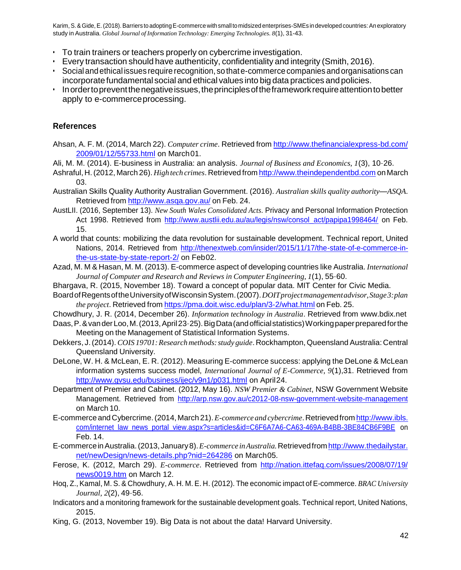- To train trainers or teachers properly on cybercrime investigation.
- Every transaction should have authenticity, confidentiality and integrity (Smith, 2016).
- Socialandethical issues require recognition, sothate-commerce companies andorganisations can incorporate fundamental social and ethical values into big data practices and policies.
- Inordertopreventthenegativeissues,theprinciplesoftheframeworkrequireattentiontobetter apply to e-commerceprocessing.

## **References**

- Ahsan, A. F. M. (2014, March 22). *Computer crime*. Retrieved from <http://www.thefinancialexpress-bd.com/> 2009/01/12/55733.html on March01.
- Ali, M. M. (2014). E-business in Australia: an analysis. *Journal of Business and Economics, 1*(3), 10–26.
- Ashraful, H.(2012, March 26). *High tech crimes*. Retrieved from [http://www.theindependentbd.com](http://www.theindependentbd.com/) on March 03.
- Australian Skills Quality Authority Australian Government. (2016). *Australian skills quality authority—ASQA*. Retrieved from <http://www.asqa.gov.au/> on Feb. 24.
- AustLII. (2016, September 13). *New South Wales Consolidated Acts*. Privacy and Personal Information Protection Act 1998. Retrieved from [http://www.austlii.edu.au/au/legis/nsw/consol\\_act/papipa1998464/](http://www.austlii.edu.au/au/legis/nsw/consol_act/papipa1998464/) on Feb. 15.
- A world that counts: mobilizing the data revolution for sustainable development. Technical report, United Nations, 2014. Retrieved from [http://thenextweb.com/insider/2015/11/17/the-state-of-e-commerce-in](http://thenextweb.com/insider/2015/11/17/the-state-of-e-commerce-in-the-us-state-by-state-report-2/)[the-us-state-by-state-report-2/](http://thenextweb.com/insider/2015/11/17/the-state-of-e-commerce-in-the-us-state-by-state-report-2/) on Feb02.
- Azad, M. M & Hasan, M. M. (2013). E-commerce aspect of developing countries like Australia. *International Journal of Computer and Research and Reviews in Computer Engineering, 1*(1), 55–60.
- Bhargava, R. (2015, November 18). Toward a concept of popular data. MIT Center for Civic Media.
- BoardofRegentsoftheUniversityofWisconsinSystem.(2007).*DOITprojectmanagementadvisor,Stage3:plan the project*. Retrieved from <https://pma.doit.wisc.edu/plan/3-2/what.html> on Feb. 25.
- Chowdhury, J. R. (2014, December 26). *Information technology in Australia*. Retrieved from [www.bdix.net](http://www.bdix.net/)
- Daas, P. & van der Loo, M. (2013, April 23-25). Big Data (and official statistics) Working paper prepared for the Meeting on the Management of Statistical Information Systems.
- Dekkers, J. (2014). *COIS 19701: Research methods: study guide*. Rockhampton, Queensland Australia: Central Queensland University.
- DeLone, W. H. & McLean, E. R. (2012). Measuring E-commerce success: applying the DeLone & McLean information systems success model, *International Journal of E-Commerce, 9*(1),31. Retrieved from <http://www.gvsu.edu/business/ijec/v9n1/p031.html> on April24.
- Department of Premier and Cabinet. (2012, May 16). *NSW Premier & Cabinet*, NSW Government Website Management. Retrieved from<http://arp.nsw.gov.au/c2012-08-nsw-government-website-management> on March 10.
- E-commerceandCybercrime.(2014, March 21).*E-commerce and cybercrime*.Retrievedfrom http://www.ibls. com/internet\_law\_news\_portal\_view.aspx?s=articles&id=C6F6A7A6-CA63-469A-B4BB-3BE84CB6F9BE on Feb. 14.
- E-commerceinAustralia.(2013,January8).*E-commerce inAustralia.*Retrievedfrom http://www.thedailystar. net/newDesign/news-details.php?nid=264286 on March05.
- Ferose, K. (2012, March 29). *E-commerce*. Retrieved from<http://nation.ittefaq.com/issues/2008/07/19/> news0019.htm on March 12.
- Hoq, Z., Kamal, M. S. & Chowdhury, A. H. M. E. H. (2012). The economic impact of E-commerce. *BRAC University Journal, 2*(2), 49–56.
- Indicators and a monitoring framework for the sustainable development goals. Technical report, United Nations, 2015.
- King, G. (2013, November 19). Big Data is not about the data! Harvard University.